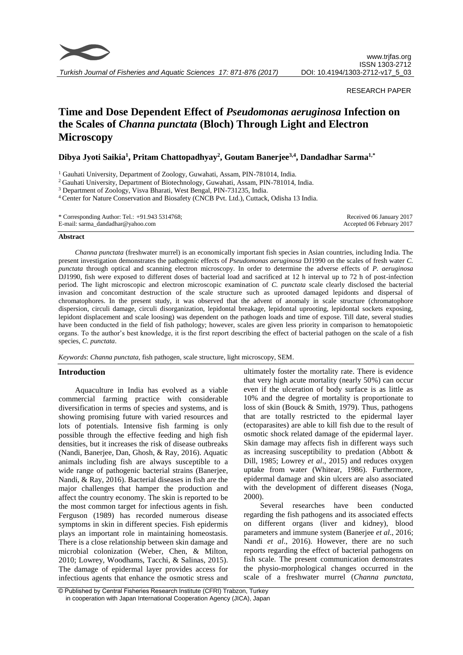

*Turkish Journal of Fisheries and Aquatic Sciences 17: 871-876 (2017)*

# RESEARCH PAPER

# **Time and Dose Dependent Effect of** *Pseudomonas aeruginosa* **Infection on the Scales of** *Channa punctata* **(Bloch) Through Light and Electron Microscopy**

**Dibya Jyoti Saikia<sup>1</sup> , Pritam Chattopadhyay<sup>2</sup> , Goutam Banerjee3,4 , Dandadhar Sarma1,\***

<sup>1</sup> Gauhati University, Department of Zoology, Guwahati, Assam, PIN-781014, India.

<sup>2</sup> Gauhati University, Department of Biotechnology, Guwahati, Assam, PIN-781014, India.

<sup>3</sup> Department of Zoology, Visva Bharati, West Bengal, PIN-731235, India.

<sup>4</sup> Center for Nature Conservation and Biosafety (CNCB Pvt. Ltd.), Cuttack, Odisha 13 India.

| * Corresponding Author: Tel.: $+91.9435314768$ ; | Received 06 January 2017  |
|--------------------------------------------------|---------------------------|
| E-mail: sarma_dandadhar@yahoo.com                | Accepted 06 February 2017 |

#### Abstract

*Channa punctata* (freshwater murrel) is an economically important fish species in Asian countries, including India. The present investigation demonstrates the pathogenic effects of *Pseudomonas aeruginosa* DJ1990 on the scales of fresh water *C. punctata* through optical and scanning electron microscopy. In order to determine the adverse effects of *P. aeruginosa* DJ1990, fish were exposed to different doses of bacterial load and sacrificed at 12 h interval up to 72 h of post-infection period. The light microscopic and electron microscopic examination of *C. punctata* scale clearly disclosed the bacterial invasion and concomitant destruction of the scale structure such as uprooted damaged lepidonts and dispersal of chromatophores. In the present study, it was observed that the advent of anomaly in scale structure (chromatophore dispersion, circuli damage, circuli disorganization, lepidontal breakage, lepidontal uprooting, lepidontal sockets exposing, lepidont displacement and scale loosing) was dependent on the pathogen loads and time of expose. Till date, several studies have been conducted in the field of fish pathology; however, scales are given less priority in comparison to hematopoietic organs. To the author's best knowledge, it is the first report describing the effect of bacterial pathogen on the scale of a fish species, *C. punctata*.

*Keywords*: *Channa punctata*, fish pathogen, scale structure, light microscopy, SEM.

# **Introduction**

Aquaculture in India has evolved as a viable commercial farming practice with considerable diversification in terms of species and systems, and is showing promising future with varied resources and lots of potentials. Intensive fish farming is only possible through the effective feeding and high fish densities, but it increases the risk of disease outbreaks (Nandi, Banerjee, Dan, Ghosh, & Ray, 2016). Aquatic animals including fish are always susceptible to a wide range of pathogenic bacterial strains (Banerjee, Nandi, & Ray, 2016). Bacterial diseases in fish are the major challenges that hamper the production and affect the country economy. The skin is reported to be the most common target for infectious agents in fish. Ferguson (1989) has recorded numerous disease symptoms in skin in different species. Fish epidermis plays an important role in maintaining homeostasis. There is a close relationship between skin damage and microbial colonization (Weber, Chen, & Milton, 2010; [Lowrey,](http://aem.asm.org/search?author1=Liam+Lowrey&sortspec=date&submit=Submit) [Woodhams,](http://aem.asm.org/search?author1=Douglas+C.+Woodhams&sortspec=date&submit=Submit) [Tacchi,](http://aem.asm.org/search?author1=Luca+Tacchi&sortspec=date&submit=Submit) & [Salinas,](http://aem.asm.org/search?author1=Irene+Salinas&sortspec=date&submit=Submit) 2015). The damage of epidermal layer provides access for infectious agents that enhance the osmotic stress and

ultimately foster the mortality rate. There is evidence that very high acute mortality (nearly 50%) can occur even if the ulceration of body surface is as little as 10% and the degree of mortality is proportionate to loss of skin (Bouck & Smith, 1979). Thus, pathogens that are totally restricted to the epidermal layer (ectoparasites) are able to kill fish due to the result of osmotic shock related damage of the epidermal layer. Skin damage may affects fish in different ways such as increasing susceptibility to predation (Abbott & Dill, 1985; [Lowrey](http://aem.asm.org/search?author1=Liam+Lowrey&sortspec=date&submit=Submit) *et al*., 2015) and reduces oxygen uptake from water (Whitear, 1986). Furthermore, epidermal damage and skin ulcers are also associated with the development of different diseases (Noga, 2000).

Several researches have been conducted regarding the fish pathogens and its associated effects on different organs (liver and kidney), blood parameters and immune system (Banerjee *et al*., 2016; Nandi *et al*., 2016). However, there are no such reports regarding the effect of bacterial pathogens on fish scale. The present communication demonstrates the physio-morphological changes occurred in the scale of a freshwater murrel (*Channa punctata,*

<sup>©</sup> Published by Central Fisheries Research Institute (CFRI) Trabzon, Turkey in cooperation with Japan International Cooperation Agency (JICA), Japan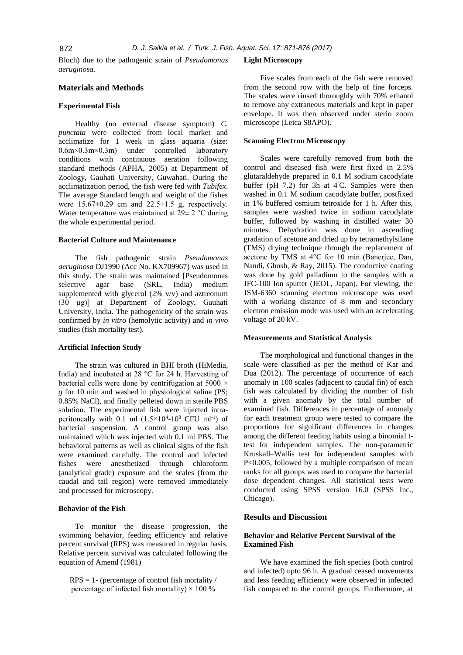Bloch) due to the pathogenic strain of *Pseudomonas aeruginosa*.

#### **Materials and Methods**

# **Experimental Fish**

Healthy (no external disease symptom) *C. punctata* were collected from local market and acclimatize for 1 week in glass aquaria (size: 0.6m×0.3m×0.3m) under controlled laboratory conditions with continuous aeration following standard methods (APHA, 2005) at Department of Zoology, Gauhati University, Guwahati. During the acclimatization period, the fish were fed with *Tubifex*. The average Standard length and weight of the fishes were  $15.67 \pm 0.29$  cm and  $22.5 \pm 1.5$  g, respectively. Water temperature was maintained at 29± 2 °C during the whole experimental period.

#### **Bacterial Culture and Maintenance**

The fish pathogenic strain *Pseudomonas aeruginosa* DJ1990 (Acc No. KX709967) was used in this study. The strain was maintained [Pseudomonas selective agar base (SRL, India) medium supplemented with glycerol (2% v/v) and aztreonum (30 µg)] at Department of Zoology, Gauhati University, India. The pathogenicity of the strain was confirmed by *in vitro* (hemolytic activity) and *in vivo* studies (fish mortality test).

#### **Artificial Infection Study**

The strain was cultured in BHI broth (HiMedia, India) and incubated at 28 °C for 24 h. Harvesting of bacterial cells were done by centrifugation at 5000 × *g* for 10 min and washed in physiological saline (PS; 0.85% NaCl), and finally pelleted down in sterile PBS solution. The experimental fish were injected intraperitoneally with 0.1 ml  $(1.5 \times 10^{4} - 10^{8} \text{ CFU ml}^{-1})$  of bacterial suspension. A control group was also maintained which was injected with 0.1 ml PBS. The behavioral patterns as well as clinical signs of the fish were examined carefully. The control and infected fishes were anesthetized through chloroform (analytical grade) exposure and the scales (from the caudal and tail region) were removed immediately and processed for microscopy.

#### **Behavior of the Fish**

To monitor the disease progression, the swimming behavior, feeding efficiency and relative percent survival (RPS) was measured in regular basis. Relative percent survival was calculated following the equation of Amend (1981)

 $RPS = 1$ - (percentage of control fish mortality / percentage of infected fish mortality)  $\times$  100 %

#### **Light Microscopy**

Five scales from each of the fish were removed from the second row with the help of fine forceps. The scales were rinsed thoroughly with 70% ethanol to remove any extraneous materials and kept in paper envelope. It was then observed under sterio zoom microscope (Leica S8APO).

#### **Scanning Electron Microscopy**

Scales were carefully removed from both the control and diseased fish were first fixed in 2.5% glutaraldehyde prepared in 0.1 M sodium cacodylate buffer (pH  $7.2$ ) for 3h at  $4^{\circ}$ C. Samples were then washed in 0.1 M sodium cacodylate buffer, postfixed in 1% buffered osmium tetroxide for 1 h. After this, samples were washed twice in sodium cacodylate buffer, followed by washing in distilled water 30 minutes. Dehydration was done in ascending gradation of acetone and dried up by tetramethylsilane (TMS) drying technique through the replacement of acetone by TMS at 4°C for 10 min (Banerjee, Dan, Nandi, Ghosh, & Ray, 2015). The conductive coating was done by gold palladium to the samples with a JFC-100 Ion sputter (JEOL, Japan). For viewing, the JSM-6360 scanning electron microscope was used with a working distance of 8 mm and secondary electron emission mode was used with an accelerating voltage of 20 kV.

#### **Measurements and Statistical Analysis**

The morphological and functional changes in the scale were classified as per the method of Kar and Dua (2012). The percentage of occurrence of each anomaly in 100 scales (adjacent to caudal fin) of each fish was calculated by dividing the number of fish with a given anomaly by the total number of examined fish. Differences in percentage of anomaly for each treatment group were tested to compare the proportions for significant differences in changes among the different feeding habits using a binomial ttest for independent samples. The non-parametric Kruskall–Wallis test for independent samples with P<0.005, followed by a multiple comparison of mean ranks for all groups was used to compare the bacterial dose dependent changes. All statistical tests were conducted using SPSS version 16.0 (SPSS Inc., Chicago).

# **Results and Discussion**

# **Behavior and Relative Percent Survival of the Examined Fish**

We have examined the fish species (both control and infected) upto 96 h. A gradual ceased movements and less feeding efficiency were observed in infected fish compared to the control groups. Furthermore, at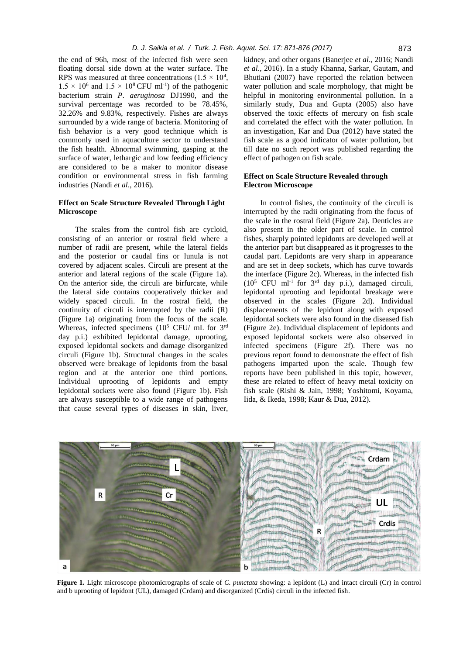the end of 96h, most of the infected fish were seen floating dorsal side down at the water surface. The RPS was measured at three concentrations  $(1.5 \times 10^4,$  $1.5 \times 10^6$  and  $1.5 \times 10^8$  CFU ml<sup>-1</sup>) of the pathogenic bacterium strain *P*. *aeruginosa* DJ1990, and the survival percentage was recorded to be 78.45%, 32.26% and 9.83%, respectively. Fishes are always surrounded by a wide range of bacteria. Monitoring of fish behavior is a very good technique which is commonly used in aquaculture sector to understand the fish health. Abnormal swimming, gasping at the surface of water, lethargic and low feeding efficiency are considered to be a maker to monitor disease condition or environmental stress in fish farming industries (Nandi *et al*., 2016).

# **Effect on Scale Structure Revealed Through Light Microscope**

The scales from the control fish are cycloid, consisting of an anterior or rostral field where a number of radii are present, while the lateral fields and the posterior or caudal fins or lunula is not covered by adjacent scales. Circuli are present at the anterior and lateral regions of the scale (Figure 1a). On the anterior side, the circuli are birfurcate, while the lateral side contains cooperatively thicker and widely spaced circuli. In the rostral field, the continuity of circuli is interrupted by the radii (R) (Figure 1a) originating from the focus of the scale. Whereas, infected specimens  $(10^5 \text{ CFU/mL} \text{ for } 3^{\text{rd}})$ day p.i.) exhibited lepidontal damage, uprooting, exposed lepidontal sockets and damage disorganized circuli (Figure 1b). Structural changes in the scales observed were breakage of lepidonts from the basal region and at the anterior one third portions. Individual uprooting of lepidonts and empty lepidontal sockets were also found (Figure 1b). Fish are always susceptible to a wide range of pathogens that cause several types of diseases in skin, liver,

kidney, and other organs (Banerjee *et al*., 2016; Nandi *et al*., 2016). In a study [Khanna,](https://www.ncbi.nlm.nih.gov/pubmed/?term=Khanna%20DR%5BAuthor%5D&cauthor=true&cauthor_uid=17333475) [Sarkar, Gautam, and](https://www.ncbi.nlm.nih.gov/pubmed/?term=Sarkar%20P%5BAuthor%5D&cauthor=true&cauthor_uid=17333475)  [Bhutiani](https://www.ncbi.nlm.nih.gov/pubmed/?term=Bhutiani%20R%5BAuthor%5D&cauthor=true&cauthor_uid=17333475) (2007) have reported the relation between water pollution and scale morphology, that might be helpful in monitoring environmental pollution. In a similarly study, Dua and Gupta (2005) also have observed the toxic effects of mercury on fish scale and correlated the effect with the water pollution. In an investigation, Kar and Dua (2012) have stated the fish scale as a good indicator of water pollution, but till date no such report was published regarding the effect of pathogen on fish scale.

# **Effect on Scale Structure Revealed through Electron Microscope**

In control fishes, the continuity of the circuli is interrupted by the radii originating from the focus of the scale in the rostral field (Figure 2a). Denticles are also present in the older part of scale. In control fishes, sharply pointed lepidonts are developed well at the anterior part but disappeared as it progresses to the caudal part. Lepidonts are very sharp in appearance and are set in deep sockets, which has curve towards the interface (Figure 2c). Whereas, in the infected fish  $(10^5$  CFU ml<sup>-1</sup> for  $3^{\text{rd}}$  day p.i.), damaged circuli, lepidontal uprooting and lepidontal breakage were observed in the scales (Figure 2d). Individual displacements of the lepidont along with exposed lepidontal sockets were also found in the diseased fish (Figure 2e). Individual displacement of lepidonts and exposed lepidontal sockets were also observed in infected specimens (Figure 2f). There was no previous report found to demonstrate the effect of fish pathogens imparted upon the scale. Though few reports have been published in this topic, however, these are related to effect of heavy metal toxicity on fish scale (Rishi & Jain, 1998; Yoshitomi, Koyama, Iida, & Ikeda, 1998; Kaur & Dua, 2012).



**Figure 1.** Light microscope photomicrographs of scale of *C. punctata* showing: a lepidont (L) and intact circuli (Cr) in control and b uprooting of lepidont (UL), damaged (Crdam) and disorganized (Crdis) circuli in the infected fish.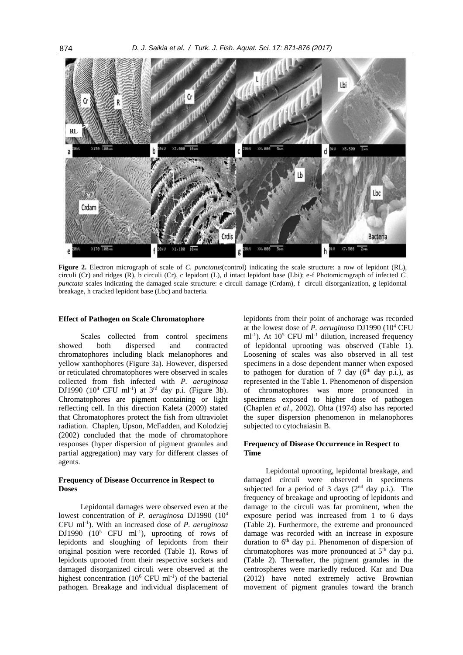

**Figure 2.** Electron micrograph of scale of *C. punctatus*(control) indicating the scale structure: a row of lepidont (RL), circuli (Cr) and ridges (R), b circuli (Cr), c lepidont (L), d intact lepidont base (Lbi); e-f Photomicrograph of infected *C. punctata* scales indicating the damaged scale structure: e circuli damage (Crdam), f circuli disorganization, g lepidontal breakage, h cracked lepidont base (Lbc) and bacteria.

# **Effect of Pathogen on Scale Chromatophore**

Scales collected from control specimens showed both dispersed and contracted chromatophores including black melanophores and yellow xanthophores (Figure 3a). However, dispersed or reticulated chromatophores were observed in scales collected from fish infected with *P. aeruginosa* DJ1990  $(10^4 \text{ CFU ml}^{-1})$  at  $3^{\text{rd}}$  day p.i. (Figure 3b). Chromatophores are pigment containing or light reflecting cell. In this direction Kaleta (2009) stated that Chromatophores protect the fish from ultraviolet radiation. Chaplen, Upson, McFadden, and Kolodziej (2002) concluded that the mode of chromatophore responses (hyper dispersion of pigment granules and partial aggregation) may vary for different classes of agents.

# **Frequency of Disease Occurrence in Respect to Doses**

Lepidontal damages were observed even at the lowest concentration of *P. aeruginosa* DJ1990 (10<sup>4</sup> CFU ml-1 ). With an increased dose of *P. aeruginosa* DJ1990  $(10^5$  CFU ml<sup>-1</sup>), uprooting of rows of lepidonts and sloughing of lepidonts from their original position were recorded (Table 1). Rows of lepidonts uprooted from their respective sockets and damaged disorganized circuli were observed at the highest concentration  $(10^6 \text{ CFU ml}^{-1})$  of the bacterial pathogen. Breakage and individual displacement of

lepidonts from their point of anchorage was recorded at the lowest dose of *P. aeruginosa* DJ1990 (10<sup>4</sup> CFU  $ml^{-1}$ ). At  $10^5$  CFU ml<sup>-1</sup> dilution, increased frequency of lepidontal uprooting was observed (Table 1). Loosening of scales was also observed in all test specimens in a dose dependent manner when exposed to pathogen for duration of 7 day  $(6<sup>th</sup>$  day p.i.), as represented in the Table 1. Phenomenon of dispersion of chromatophores was more pronounced in specimens exposed to higher dose of pathogen (Chaplen *et al*., 2002). Ohta (1974) also has reported the super dispersion phenomenon in melanophores subjected to cytochaiasin B.

# **Frequency of Disease Occurrence in Respect to Time**

Lepidontal uprooting, lepidontal breakage, and damaged circuli were observed in specimens subjected for a period of 3 days  $(2<sup>nd</sup>$  day p.i.). The frequency of breakage and uprooting of lepidonts and damage to the circuli was far prominent, when the exposure period was increased from 1 to 6 days (Table 2). Furthermore, the extreme and pronounced damage was recorded with an increase in exposure duration to  $6<sup>th</sup>$  day p.i. Phenomenon of dispersion of chromatophores was more pronounced at  $5<sup>th</sup>$  day p.i. (Table 2). Thereafter, the pigment granules in the centrospheres were markedly reduced. Kar and Dua (2012) have noted extremely active Brownian movement of pigment granules toward the branch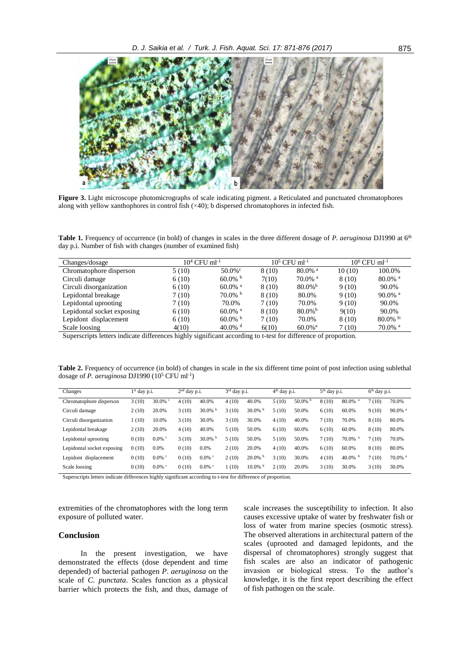

**Figure 3.** Light microscope photomicrographs of scale indicating pigment. a Reticulated and punctuated chromatophores along with yellow xanthophores in control fish (×40); b dispersed chromatophores in infected fish.

**Table 1.** Frequency of occurrence (in bold) of changes in scales in the three different dosage of *P. aeruginosa* DJ1990 at 6th day p.i. Number of fish with changes (number of examined fish)

| Changes/dosage             | $10^4$ CFU ml <sup>-1</sup> |                       |        | $10^5$ CFU ml <sup>-1</sup> | $10^6$ CFU ml <sup>-1</sup> |                       |  |
|----------------------------|-----------------------------|-----------------------|--------|-----------------------------|-----------------------------|-----------------------|--|
| Chromatophore disperson    | 5(10)                       | $50.0\%$ °            | 8 (10) | $80.0\%$ <sup>a</sup>       | 10(10)                      | 100.0%                |  |
| Circuli damage             | 6(10)                       | $60.0\%$              | 7(10)  | $70.0\%$ <sup>a</sup>       | 8 (10)                      | $80.0\%$ <sup>a</sup> |  |
| Circuli disorganization    | 6(10)                       | $60.0\%$ <sup>a</sup> | 8(10)  | $80.0\%$ <sup>b</sup>       | 9(10)                       | 90.0%                 |  |
| Lepidontal breakage        | 7(10)                       | $70.0\%$ b            | 8(10)  | 80.0%                       | 9(10)                       | $90.0\%$ <sup>a</sup> |  |
| Lepidontal uprooting       | 7(10)                       | 70.0%                 | 7(10)  | 70.0%                       | 9(10)                       | 90.0%                 |  |
| Lepidontal socket exposing | 6(10)                       | $60.0\%$ <sup>a</sup> | 8 (10) | $80.0\%$ <sup>b</sup>       | 9(10)                       | 90.0%                 |  |
| Lepidont displacement      | 6(10)                       | $60.0\%$ b            | 7(10)  | 70.0%                       | 8 (10)                      | 80.0% b               |  |
| Scale loosing              | 4(10)                       | $40.0\%$ <sup>d</sup> | 6(10)  | $60.0\%$ <sup>a</sup>       | 7 (10)                      | $70.0\%$ <sup>a</sup> |  |

Superscripts letters indicate differences highly significant according to t-test for difference of proportion.

**Table 2.** Frequency of occurrence (in bold) of changes in scale in the six different time point of post infection using sublethal dosage of *P. aeruginosa* DJ1990 (10<sup>5</sup> CFU ml<sup>-1</sup>)

| Changes                    | $1st$ day p.i. |           | $2nd$ day p.i. |            | $3rd$ day p.i. |            | $4th$ day p.i. |            | $5th$ day p.i. |                       | $6th$ day p.i. |                       |
|----------------------------|----------------|-----------|----------------|------------|----------------|------------|----------------|------------|----------------|-----------------------|----------------|-----------------------|
| Chromatophore disperson    | 3(10)          | $30.0\%$  | 4(10)          | 40.0%      | 4(10)          | 40.0%      | 5(10)          | $50.0\%$ b | 8(10)          | 80.0%<br>a            | 7(10)          | 70.0%                 |
| Circuli damage             | 2(10)          | 20.0%     | 3(10)          | $30.0\%$   | 3(10)          | $30.0\%$   | 5(10)          | 50.0%      | 6(10)          | 60.0%                 | 9(10)          | $90.0\%$ <sup>a</sup> |
| Circuli disorganization    | 1(10)          | 10.0%     | 3(10)          | 30.0%      | 3(10)          | 30.0%      | 4(10)          | 40.0%      | 7(10)          | 70.0%                 | 8(10)          | 80.0%                 |
| Lepidontal breakage        | 2(10)          | 20.0%     | 4(10)          | 40.0%      | 5(10)          | 50.0%      | 6(10)          | 60.0%      | 6(10)          | 60.0%                 | 8(10)          | 80.0%                 |
| Lepidontal uprooting       | 0(10)          | $0.0\%$ c | 3(10)          | $30.0\%$ b | 5(10)          | 50.0%      | 5(10)          | 50.0%      | 7(10)          | $70.0\%$ <sup>a</sup> | 7(10)          | 70.0%                 |
| Lepidontal socket exposing | 0(10)          | 0.0%      | 0(10)          | 0.0%       | 2(10)          | 20.0%      | 4(10)          | 40.0%      | 6(10)          | 60.0%                 | 8(10)          | 80.0%                 |
| Lepidont displacement      | 0(10)          | $0.0\%$ c | 0(10)          | $0.0\%$ c  | 2(10)          | $20.0\%$   | 3(10)          | 30.0%      | 4(10)          | 40.0%<br>b            | 7(10)          | $70.0\%$ <sup>a</sup> |
| Scale loosing              | 0(10)          | $0.0\%$ c | 0(10)          | $0.0\%$ c  | 1(10)          | $10.0\%$ b | 2(10)          | 20.0%      | 3(10)          | 30.0%                 | 3(10)          | 30.0%                 |

Superscripts letters indicate differences highly significant according to t-test for difference of proportion.

extremities of the chromatophores with the long term exposure of polluted water.

# **Conclusion**

In the present investigation, we have demonstrated the effects (dose dependent and time depended) of bacterial pathogen *P*. *aeruginosa* on the scale of *C. punctata*. Scales function as a physical barrier which protects the fish, and thus, damage of scale increases the susceptibility to infection. It also causes excessive uptake of water by freshwater fish or loss of water from marine species (osmotic stress). The observed alterations in architectural pattern of the scales (uprooted and damaged lepidonts, and the dispersal of chromatophores) strongly suggest that fish scales are also an indicator of pathogenic invasion or biological stress. To the author's knowledge, it is the first report describing the effect of fish pathogen on the scale.